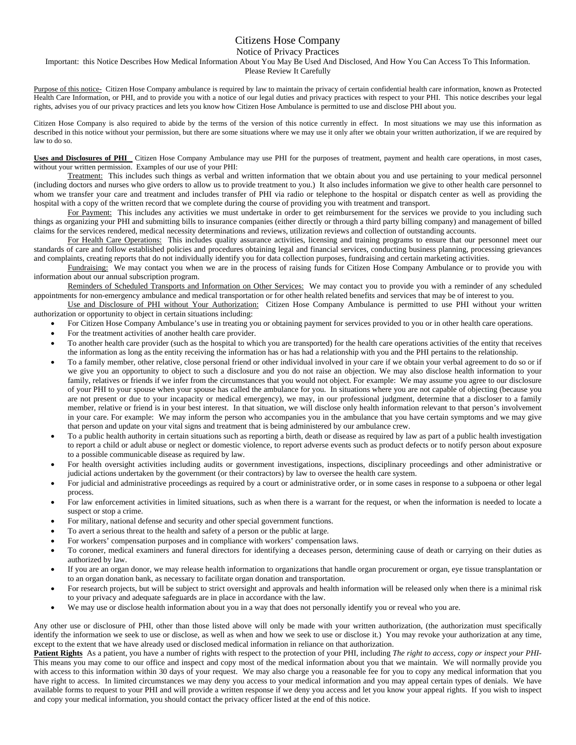## Citizens Hose Company

## Notice of Privacy Practices

Important: this Notice Describes How Medical Information About You May Be Used And Disclosed, And How You Can Access To This Information.

## Please Review It Carefully

Purpose of this notice- Citizen Hose Company ambulance is required by law to maintain the privacy of certain confidential health care information, known as Protected Health Care Information, or PHI, and to provide you with a notice of our legal duties and privacy practices with respect to your PHI. This notice describes your legal rights, advises you of our privacy practices and lets you know how Citizen Hose Ambulance is permitted to use and disclose PHI about you.

Citizen Hose Company is also required to abide by the terms of the version of this notice currently in effect. In most situations we may use this information as described in this notice without your permission, but there are some situations where we may use it only after we obtain your written authorization, if we are required by law to do so.

**Uses and Disclosures of PHI** Citizen Hose Company Ambulance may use PHI for the purposes of treatment, payment and health care operations, in most cases, without your written permission. Examples of our use of your PHI:

Treatment: This includes such things as verbal and written information that we obtain about you and use pertaining to your medical personnel (including doctors and nurses who give orders to allow us to provide treatment to you.) It also includes information we give to other health care personnel to whom we transfer your care and treatment and includes transfer of PHI via radio or telephone to the hospital or dispatch center as well as providing the hospital with a copy of the written record that we complete during the course of providing you with treatment and transport.

For Payment: This includes any activities we must undertake in order to get reimbursement for the services we provide to you including such things as organizing your PHI and submitting bills to insurance companies (either directly or through a third party billing company) and management of billed claims for the services rendered, medical necessity determinations and reviews, utilization reviews and collection of outstanding accounts.

For Health Care Operations: This includes quality assurance activities, licensing and training programs to ensure that our personnel meet our standards of care and follow established policies and procedures obtaining legal and financial services, conducting business planning, processing grievances and complaints, creating reports that do not individually identify you for data collection purposes, fundraising and certain marketing activities.

Fundraising: We may contact you when we are in the process of raising funds for Citizen Hose Company Ambulance or to provide you with information about our annual subscription program.

Reminders of Scheduled Transports and Information on Other Services: We may contact you to provide you with a reminder of any scheduled appointments for non-emergency ambulance and medical transportation or for other health related benefits and services that may be of interest to you.

Use and Disclosure of PHI without Your Authorization: Citizen Hose Company Ambulance is permitted to use PHI without your written authorization or opportunity to object in certain situations including:

- For Citizen Hose Company Ambulance's use in treating you or obtaining payment for services provided to you or in other health care operations.
- For the treatment activities of another health care provider.
- To another health care provider (such as the hospital to which you are transported) for the health care operations activities of the entity that receives the information as long as the entity receiving the information has or has had a relationship with you and the PHI pertains to the relationship.
- To a family member, other relative, close personal friend or other individual involved in your care if we obtain your verbal agreement to do so or if we give you an opportunity to object to such a disclosure and you do not raise an objection. We may also disclose health information to your family, relatives or friends if we infer from the circumstances that you would not object. For example: We may assume you agree to our disclosure of your PHI to your spouse when your spouse has called the ambulance for you. In situations where you are not capable of objecting (because you are not present or due to your incapacity or medical emergency), we may, in our professional judgment, determine that a discloser to a family member, relative or friend is in your best interest. In that situation, we will disclose only health information relevant to that person's involvement in your care. For example: We may inform the person who accompanies you in the ambulance that you have certain symptoms and we may give that person and update on your vital signs and treatment that is being administered by our ambulance crew.
- To a public health authority in certain situations such as reporting a birth, death or disease as required by law as part of a public health investigation to report a child or adult abuse or neglect or domestic violence, to report adverse events such as product defects or to notify person about exposure to a possible communicable disease as required by law.
- For health oversight activities including audits or government investigations, inspections, disciplinary proceedings and other administrative or judicial actions undertaken by the government (or their contractors) by law to oversee the health care system.
- For judicial and administrative proceedings as required by a court or administrative order, or in some cases in response to a subpoena or other legal process.
- For law enforcement activities in limited situations, such as when there is a warrant for the request, or when the information is needed to locate a suspect or stop a crime.
- For military, national defense and security and other special government functions.
- To avert a serious threat to the health and safety of a person or the public at large.
- For workers' compensation purposes and in compliance with workers' compensation laws.
- To coroner, medical examiners and funeral directors for identifying a deceases person, determining cause of death or carrying on their duties as authorized by law.
- If you are an organ donor, we may release health information to organizations that handle organ procurement or organ, eye tissue transplantation or to an organ donation bank, as necessary to facilitate organ donation and transportation.
- For research projects, but will be subject to strict oversight and approvals and health information will be released only when there is a minimal risk to your privacy and adequate safeguards are in place in accordance with the law.
- We may use or disclose health information about you in a way that does not personally identify you or reveal who you are.

Any other use or disclosure of PHI, other than those listed above will only be made with your written authorization, (the authorization must specifically identify the information we seek to use or disclose, as well as when and how we seek to use or disclose it.) You may revoke your authorization at any time, except to the extent that we have already used or disclosed medical information in reliance on that authorization.

**Patient Rights** As a patient, you have a number of rights with respect to the protection of your PHI, including *The right to access, copy or inspect your PHI-*This means you may come to our office and inspect and copy most of the medical information about you that we maintain. We will normally provide you with access to this information within 30 days of your request. We may also charge you a reasonable fee for you to copy any medical information that you have right to access. In limited circumstances we may deny you access to your medical information and you may appeal certain types of denials. We have available forms to request to your PHI and will provide a written response if we deny you access and let you know your appeal rights. If you wish to inspect and copy your medical information, you should contact the privacy officer listed at the end of this notice.